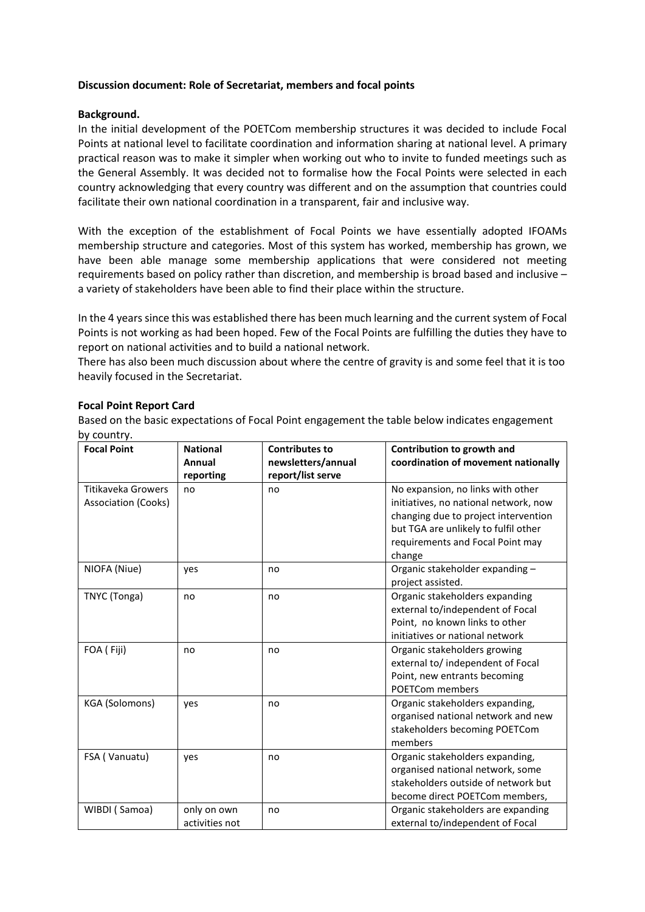# **Discussion document: Role of Secretariat, members and focal points**

# **Background.**

In the initial development of the POETCom membership structures it was decided to include Focal Points at national level to facilitate coordination and information sharing at national level. A primary practical reason was to make it simpler when working out who to invite to funded meetings such as the General Assembly. It was decided not to formalise how the Focal Points were selected in each country acknowledging that every country was different and on the assumption that countries could facilitate their own national coordination in a transparent, fair and inclusive way.

With the exception of the establishment of Focal Points we have essentially adopted IFOAMs membership structure and categories. Most of this system has worked, membership has grown, we have been able manage some membership applications that were considered not meeting requirements based on policy rather than discretion, and membership is broad based and inclusive – a variety of stakeholders have been able to find their place within the structure.

In the 4 years since this was established there has been much learning and the current system of Focal Points is not working as had been hoped. Few of the Focal Points are fulfilling the duties they have to report on national activities and to build a national network.

There has also been much discussion about where the centre of gravity is and some feel that it is too heavily focused in the Secretariat.

# **Focal Point Report Card**

Based on the basic expectations of Focal Point engagement the table below indicates engagement by country.

| $\sim$ $\sim$ $\sim$ $\sim$ $\sim$ $\sim$<br><b>Focal Point</b> | <b>National</b><br><b>Annual</b><br>reporting | <b>Contributes to</b><br>newsletters/annual<br>report/list serve | Contribution to growth and<br>coordination of movement nationally                                                                                                                                        |
|-----------------------------------------------------------------|-----------------------------------------------|------------------------------------------------------------------|----------------------------------------------------------------------------------------------------------------------------------------------------------------------------------------------------------|
| Titikaveka Growers<br>Association (Cooks)                       | no                                            | no                                                               | No expansion, no links with other<br>initiatives, no national network, now<br>changing due to project intervention<br>but TGA are unlikely to fulfil other<br>requirements and Focal Point may<br>change |
| NIOFA (Niue)                                                    | yes                                           | no                                                               | Organic stakeholder expanding -<br>project assisted.                                                                                                                                                     |
| TNYC (Tonga)                                                    | no                                            | no                                                               | Organic stakeholders expanding<br>external to/independent of Focal<br>Point, no known links to other<br>initiatives or national network                                                                  |
| FOA (Fiji)                                                      | no                                            | no                                                               | Organic stakeholders growing<br>external to/ independent of Focal<br>Point, new entrants becoming<br><b>POETCom members</b>                                                                              |
| KGA (Solomons)                                                  | yes                                           | no                                                               | Organic stakeholders expanding,<br>organised national network and new<br>stakeholders becoming POETCom<br>members                                                                                        |
| FSA (Vanuatu)                                                   | yes                                           | no                                                               | Organic stakeholders expanding,<br>organised national network, some<br>stakeholders outside of network but<br>become direct POETCom members,                                                             |
| WIBDI (Samoa)                                                   | only on own<br>activities not                 | no                                                               | Organic stakeholders are expanding<br>external to/independent of Focal                                                                                                                                   |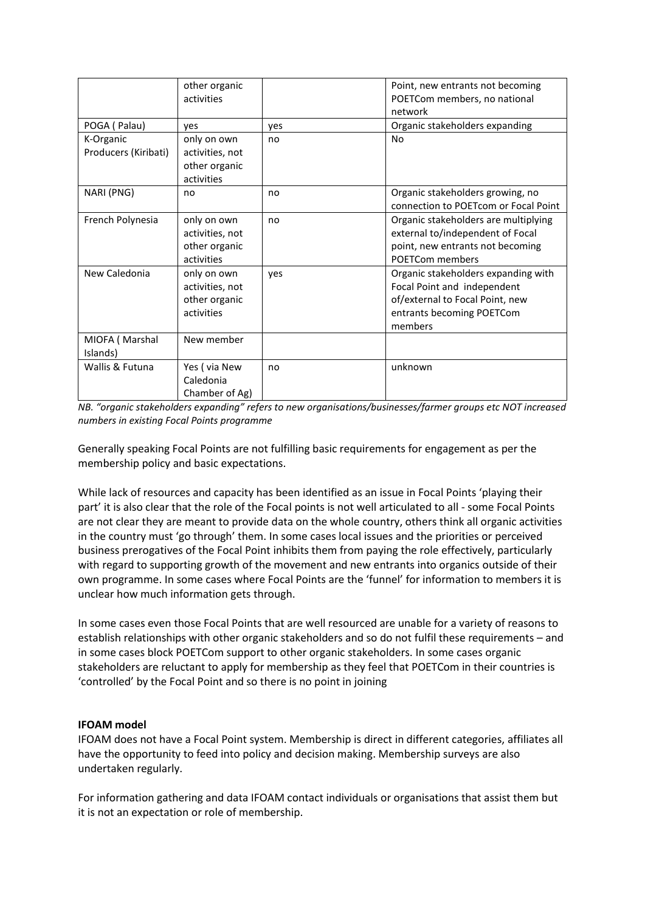|                      | other organic   |     | Point, new entrants not becoming     |
|----------------------|-----------------|-----|--------------------------------------|
|                      | activities      |     | POETCom members, no national         |
|                      |                 |     | network                              |
| POGA (Palau)         | yes             | yes | Organic stakeholders expanding       |
| K-Organic            | only on own     | no  | No                                   |
| Producers (Kiribati) | activities, not |     |                                      |
|                      | other organic   |     |                                      |
|                      | activities      |     |                                      |
| NARI (PNG)           | no              | no  | Organic stakeholders growing, no     |
|                      |                 |     | connection to POETcom or Focal Point |
| French Polynesia     | only on own     | no  | Organic stakeholders are multiplying |
|                      | activities, not |     | external to/independent of Focal     |
|                      | other organic   |     | point, new entrants not becoming     |
|                      | activities      |     | <b>POETCom members</b>               |
| New Caledonia        | only on own     | yes | Organic stakeholders expanding with  |
|                      | activities, not |     | Focal Point and independent          |
|                      | other organic   |     | of/external to Focal Point, new      |
|                      | activities      |     | entrants becoming POETCom            |
|                      |                 |     | members                              |
| MIOFA (Marshal       | New member      |     |                                      |
| Islands)             |                 |     |                                      |
| Wallis & Futuna      | Yes (via New    | no  | unknown                              |
|                      | Caledonia       |     |                                      |
|                      | Chamber of Ag)  |     |                                      |

*NB. "organic stakeholders expanding" refers to new organisations/businesses/farmer groups etc NOT increased numbers in existing Focal Points programme*

Generally speaking Focal Points are not fulfilling basic requirements for engagement as per the membership policy and basic expectations.

While lack of resources and capacity has been identified as an issue in Focal Points 'playing their part' it is also clear that the role of the Focal points is not well articulated to all - some Focal Points are not clear they are meant to provide data on the whole country, others think all organic activities in the country must 'go through' them. In some cases local issues and the priorities or perceived business prerogatives of the Focal Point inhibits them from paying the role effectively, particularly with regard to supporting growth of the movement and new entrants into organics outside of their own programme. In some cases where Focal Points are the 'funnel' for information to members it is unclear how much information gets through.

In some cases even those Focal Points that are well resourced are unable for a variety of reasons to establish relationships with other organic stakeholders and so do not fulfil these requirements – and in some cases block POETCom support to other organic stakeholders. In some cases organic stakeholders are reluctant to apply for membership as they feel that POETCom in their countries is 'controlled' by the Focal Point and so there is no point in joining

# **IFOAM model**

IFOAM does not have a Focal Point system. Membership is direct in different categories, affiliates all have the opportunity to feed into policy and decision making. Membership surveys are also undertaken regularly.

For information gathering and data IFOAM contact individuals or organisations that assist them but it is not an expectation or role of membership.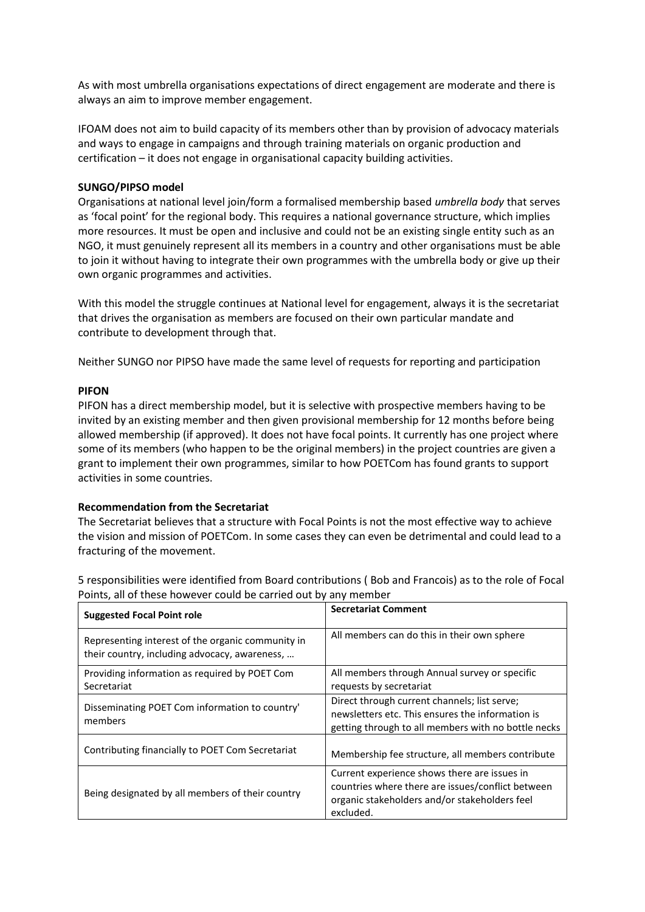As with most umbrella organisations expectations of direct engagement are moderate and there is always an aim to improve member engagement.

IFOAM does not aim to build capacity of its members other than by provision of advocacy materials and ways to engage in campaigns and through training materials on organic production and certification – it does not engage in organisational capacity building activities.

### **SUNGO/PIPSO model**

Organisations at national level join/form a formalised membership based *umbrella body* that serves as 'focal point' for the regional body. This requires a national governance structure, which implies more resources. It must be open and inclusive and could not be an existing single entity such as an NGO, it must genuinely represent all its members in a country and other organisations must be able to join it without having to integrate their own programmes with the umbrella body or give up their own organic programmes and activities.

With this model the struggle continues at National level for engagement, always it is the secretariat that drives the organisation as members are focused on their own particular mandate and contribute to development through that.

Neither SUNGO nor PIPSO have made the same level of requests for reporting and participation

### **PIFON**

PIFON has a direct membership model, but it is selective with prospective members having to be invited by an existing member and then given provisional membership for 12 months before being allowed membership (if approved). It does not have focal points. It currently has one project where some of its members (who happen to be the original members) in the project countries are given a grant to implement their own programmes, similar to how POETCom has found grants to support activities in some countries.

### **Recommendation from the Secretariat**

The Secretariat believes that a structure with Focal Points is not the most effective way to achieve the vision and mission of POETCom. In some cases they can even be detrimental and could lead to a fracturing of the movement.

5 responsibilities were identified from Board contributions ( Bob and Francois) as to the role of Focal Points, all of these however could be carried out by any member

| <b>Suggested Focal Point role</b>                                                                  | <b>Secretariat Comment</b>                                                                                                                                      |
|----------------------------------------------------------------------------------------------------|-----------------------------------------------------------------------------------------------------------------------------------------------------------------|
| Representing interest of the organic community in<br>their country, including advocacy, awareness, | All members can do this in their own sphere                                                                                                                     |
| Providing information as required by POET Com<br>Secretariat                                       | All members through Annual survey or specific<br>requests by secretariat                                                                                        |
| Disseminating POET Com information to country'<br>members                                          | Direct through current channels; list serve;<br>newsletters etc. This ensures the information is<br>getting through to all members with no bottle necks         |
| Contributing financially to POET Com Secretariat                                                   | Membership fee structure, all members contribute                                                                                                                |
| Being designated by all members of their country                                                   | Current experience shows there are issues in<br>countries where there are issues/conflict between<br>organic stakeholders and/or stakeholders feel<br>excluded. |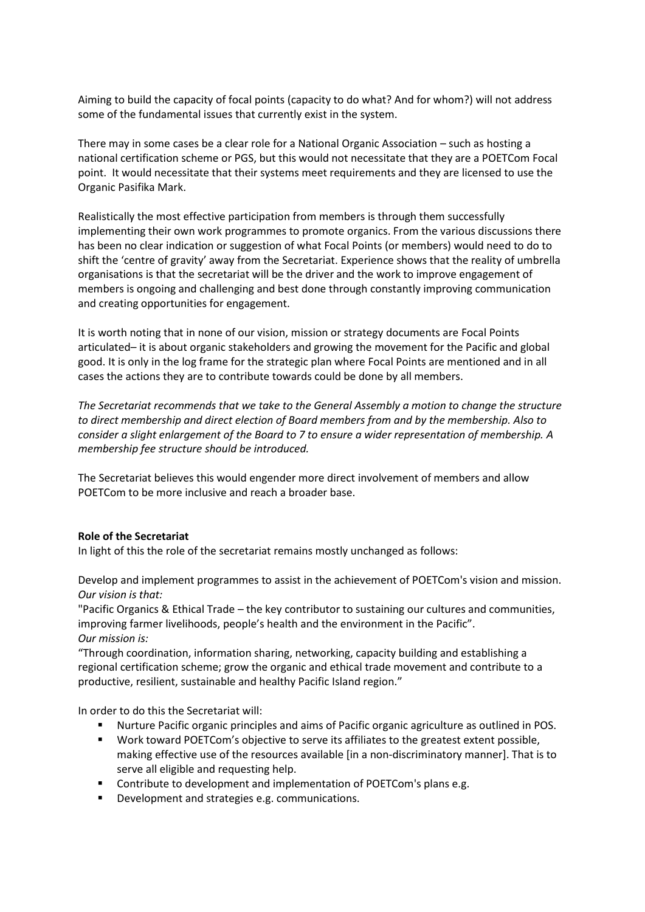Aiming to build the capacity of focal points (capacity to do what? And for whom?) will not address some of the fundamental issues that currently exist in the system.

There may in some cases be a clear role for a National Organic Association – such as hosting a national certification scheme or PGS, but this would not necessitate that they are a POETCom Focal point. It would necessitate that their systems meet requirements and they are licensed to use the Organic Pasifika Mark.

Realistically the most effective participation from members is through them successfully implementing their own work programmes to promote organics. From the various discussions there has been no clear indication or suggestion of what Focal Points (or members) would need to do to shift the 'centre of gravity' away from the Secretariat. Experience shows that the reality of umbrella organisations is that the secretariat will be the driver and the work to improve engagement of members is ongoing and challenging and best done through constantly improving communication and creating opportunities for engagement.

It is worth noting that in none of our vision, mission or strategy documents are Focal Points articulated– it is about organic stakeholders and growing the movement for the Pacific and global good. It is only in the log frame for the strategic plan where Focal Points are mentioned and in all cases the actions they are to contribute towards could be done by all members.

*The Secretariat recommends that we take to the General Assembly a motion to change the structure to direct membership and direct election of Board members from and by the membership. Also to consider a slight enlargement of the Board to 7 to ensure a wider representation of membership. A membership fee structure should be introduced.*

The Secretariat believes this would engender more direct involvement of members and allow POETCom to be more inclusive and reach a broader base.

# **Role of the Secretariat**

In light of this the role of the secretariat remains mostly unchanged as follows:

Develop and implement programmes to assist in the achievement of POETCom's vision and mission. *Our vision is that:*

"Pacific Organics & Ethical Trade – the key contributor to sustaining our cultures and communities, improving farmer livelihoods, people's health and the environment in the Pacific". *Our mission is:*

"Through coordination, information sharing, networking, capacity building and establishing a regional certification scheme; grow the organic and ethical trade movement and contribute to a productive, resilient, sustainable and healthy Pacific Island region."

In order to do this the Secretariat will:

- Nurture Pacific organic principles and aims of Pacific organic agriculture as outlined in POS.
- Work toward POETCom's objective to serve its affiliates to the greatest extent possible, making effective use of the resources available [in a non-discriminatory manner]. That is to serve all eligible and requesting help.
- Contribute to development and implementation of POETCom's plans e.g.
- Development and strategies e.g. communications.